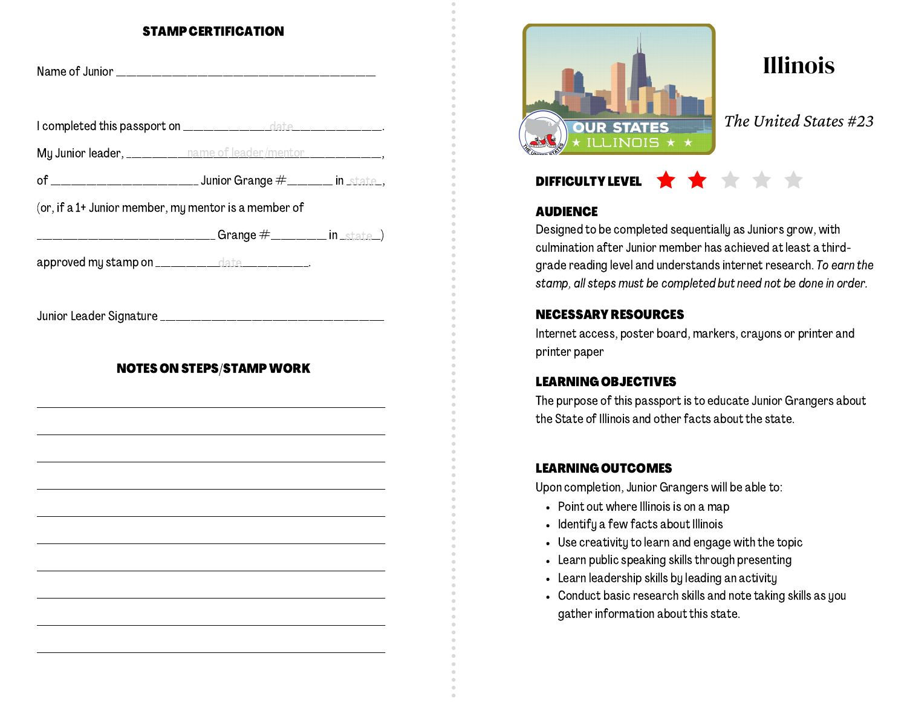#### STAMP CERTIFICATION

| My Junior leader, __________ name of leader/mentor _________________,                  |                                                                                                 |  |
|----------------------------------------------------------------------------------------|-------------------------------------------------------------------------------------------------|--|
|                                                                                        |                                                                                                 |  |
| (or, if a 1+ Junior member, my mentor is a member of                                   |                                                                                                 |  |
| ___________________________________Grange                    #____________ in _state_) |                                                                                                 |  |
| approved my stamp on _____________date_____________.                                   |                                                                                                 |  |
|                                                                                        |                                                                                                 |  |
|                                                                                        |                                                                                                 |  |
|                                                                                        |                                                                                                 |  |
|                                                                                        | <b>NOTES ON STEPS/STAMP WORK</b><br><u> 1989 - Johann Stoff, amerikansk politiker (d. 1989)</u> |  |
|                                                                                        |                                                                                                 |  |
|                                                                                        |                                                                                                 |  |
|                                                                                        |                                                                                                 |  |
|                                                                                        |                                                                                                 |  |
|                                                                                        |                                                                                                 |  |
|                                                                                        |                                                                                                 |  |
|                                                                                        |                                                                                                 |  |



Illinois

*The United States #23*

# DIFFICULTY LEVEL

## **AUDIENCE**

Designed to be completed sequentially as Juniors grow, with culmination after Junior member has achieved at least a thirdgrade reading level and understands internet research. To earn the stamp, all steps must be completed but need not be done in order.

# NECESSARY RESOURCES

Internet access, poster board, markers, crayons or printer and printer paper

#### LEARNING OBJECTIVES

The purpose of this passport is to educate Junior Grangers about the State of Illinois and other facts about the state.

## LEARNING OUTCOMES

Upon completion, Junior Grangers will be able to:

- Point out where Illinois is on a map
- Identify a few facts about Illinois
- Use creativity to learn and engage with the topic
- Learn public speaking skills through presenting
- Learn leadership skills by leading an activity
- Conduct basic research skills and note taking skills as you gather information about this state.